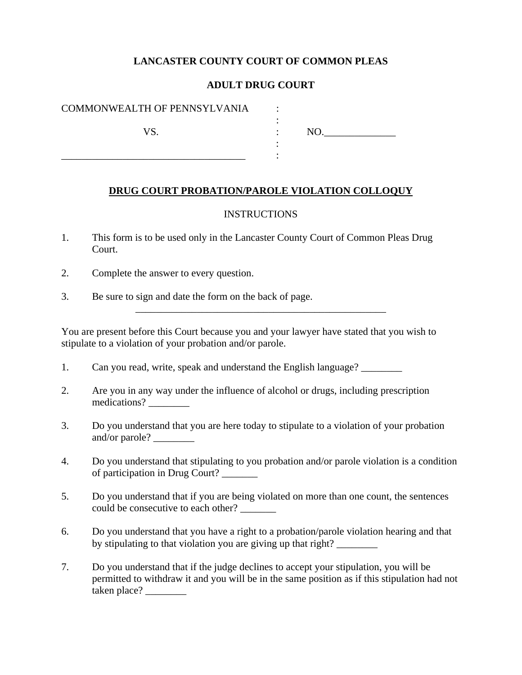# **LANCASTER COUNTY COURT OF COMMON PLEAS**

# **ADULT DRUG COURT**

:

:

\_\_\_\_\_\_\_\_\_\_\_\_\_\_\_\_\_\_\_\_\_\_\_\_\_\_\_\_\_\_\_\_\_\_\_\_\_\_\_\_\_\_\_\_\_\_\_\_\_

#### COMMONWEALTH OF PENNSYLVANIA :

\_\_\_\_\_\_\_\_\_\_\_\_\_\_\_\_\_\_\_\_\_\_\_\_\_\_\_\_\_\_\_\_\_\_\_\_ :

VS. NO.

### **DRUG COURT PROBATION/PAROLE VIOLATION COLLOQUY**

#### INSTRUCTIONS

- 1. This form is to be used only in the Lancaster County Court of Common Pleas Drug Court.
- 2. Complete the answer to every question.
- 3. Be sure to sign and date the form on the back of page.

You are present before this Court because you and your lawyer have stated that you wish to stipulate to a violation of your probation and/or parole.

- 1. Can you read, write, speak and understand the English language?
- 2. Are you in any way under the influence of alcohol or drugs, including prescription medications?
- 3. Do you understand that you are here today to stipulate to a violation of your probation and/or parole?
- 4. Do you understand that stipulating to you probation and/or parole violation is a condition of participation in Drug Court? \_\_\_\_\_\_\_
- 5. Do you understand that if you are being violated on more than one count, the sentences could be consecutive to each other?
- 6. Do you understand that you have a right to a probation/parole violation hearing and that by stipulating to that violation you are giving up that right?
- 7. Do you understand that if the judge declines to accept your stipulation, you will be permitted to withdraw it and you will be in the same position as if this stipulation had not taken place? \_\_\_\_\_\_\_\_